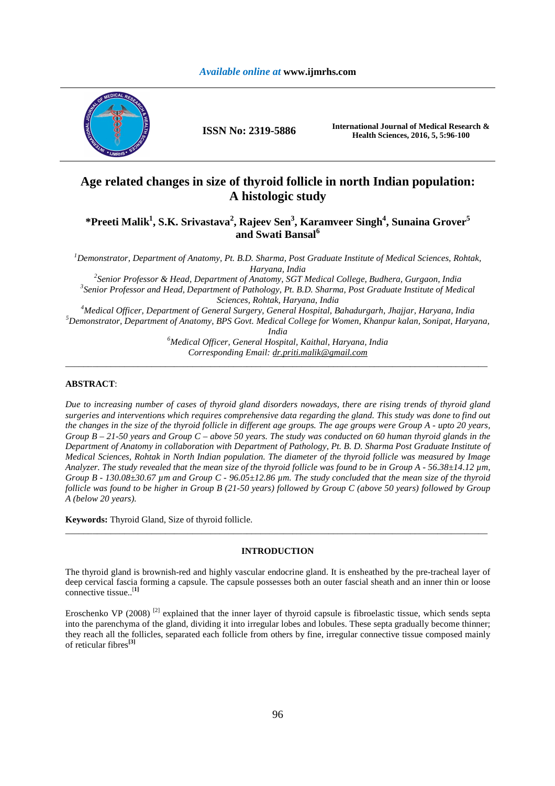

**ISSN No: 2319-5886 International Journal of Medical Research & Health Sciences, 2016, 5, 5:96-100** 

# **Age related changes in size of thyroid follicle in north Indian population: A histologic study**

# **\*Preeti Malik<sup>1</sup> , S.K. Srivastava<sup>2</sup> , Rajeev Sen<sup>3</sup> , Karamveer Singh<sup>4</sup> , Sunaina Grover<sup>5</sup> and Swati Bansal<sup>6</sup>**

*<sup>1</sup>Demonstrator, Department of Anatomy, Pt. B.D. Sharma, Post Graduate Institute of Medical Sciences, Rohtak, Haryana, India* 

*2 Senior Professor & Head, Department of Anatomy, SGT Medical College, Budhera, Gurgaon, India 3 Senior Professor and Head, Department of Pathology, Pt. B.D. Sharma, Post Graduate Institute of Medical Sciences, Rohtak, Haryana, India* 

*<sup>4</sup>Medical Officer, Department of General Surgery, General Hospital, Bahadurgarh, Jhajjar, Haryana, India <sup>5</sup>Demonstrator, Department of Anatomy, BPS Govt. Medical College for Women, Khanpur kalan, Sonipat, Haryana,* 

*India* 

*<sup>6</sup>Medical Officer, General Hospital, Kaithal, Haryana, India Corresponding Email: dr.priti.malik@gmail.com*  \_\_\_\_\_\_\_\_\_\_\_\_\_\_\_\_\_\_\_\_\_\_\_\_\_\_\_\_\_\_\_\_\_\_\_\_\_\_\_\_\_\_\_\_\_\_\_\_\_\_\_\_\_\_\_\_\_\_\_\_\_\_\_\_\_\_\_\_\_\_\_\_\_\_\_\_\_\_\_\_\_\_\_\_\_\_\_\_\_\_\_\_\_

# **ABSTRACT**:

*Due to increasing number of cases of thyroid gland disorders nowadays, there are rising trends of thyroid gland surgeries and interventions which requires comprehensive data regarding the gland. This study was done to find out the changes in the size of the thyroid follicle in different age groups. The age groups were Group A - upto 20 years, Group B – 21-50 years and Group C – above 50 years. The study was conducted on 60 human thyroid glands in the Department of Anatomy in collaboration with Department of Pathology, Pt. B. D. Sharma Post Graduate Institute of Medical Sciences, Rohtak in North Indian population. The diameter of the thyroid follicle was measured by Image Analyzer. The study revealed that the mean size of the thyroid follicle was found to be in Group A - 56.38±14.12 µm, Group B - 130.08±30.67 µm and Group C - 96.05±12.86 µm. The study concluded that the mean size of the thyroid follicle was found to be higher in Group B (21-50 years) followed by Group C (above 50 years) followed by Group A (below 20 years).* 

**Keywords:** Thyroid Gland, Size of thyroid follicle.

# **INTRODUCTION**

\_\_\_\_\_\_\_\_\_\_\_\_\_\_\_\_\_\_\_\_\_\_\_\_\_\_\_\_\_\_\_\_\_\_\_\_\_\_\_\_\_\_\_\_\_\_\_\_\_\_\_\_\_\_\_\_\_\_\_\_\_\_\_\_\_\_\_\_\_\_\_\_\_\_\_\_\_\_\_\_\_\_\_\_\_\_\_\_\_\_\_\_\_

The thyroid gland is brownish-red and highly vascular endocrine gland. It is ensheathed by the pre-tracheal layer of deep cervical fascia forming a capsule. The capsule possesses both an outer fascial sheath and an inner thin or loose connective tissue..[**1]** 

Eroschenko VP (2008)<sup>[2]</sup> explained that the inner layer of thyroid capsule is fibroelastic tissue, which sends septa into the parenchyma of the gland, dividing it into irregular lobes and lobules. These septa gradually become thinner; they reach all the follicles, separated each follicle from others by fine, irregular connective tissue composed mainly of reticular fibres**[3]**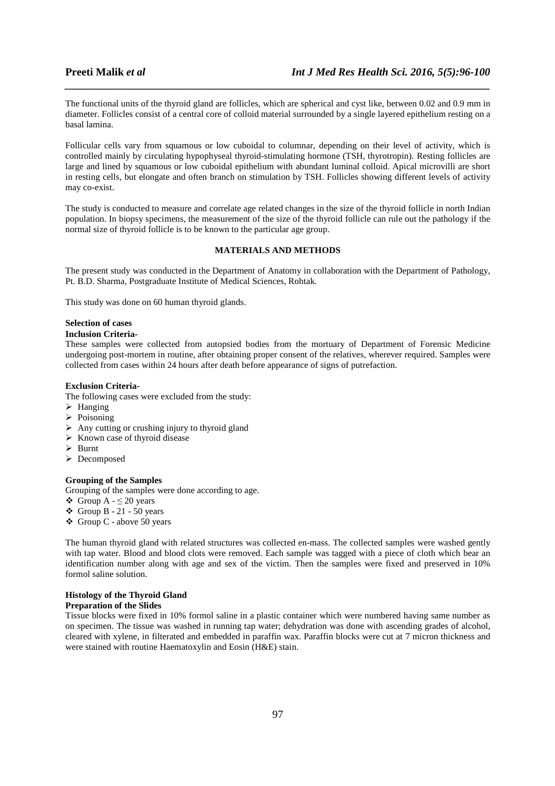The functional units of the thyroid gland are follicles, which are spherical and cyst like, between 0.02 and 0.9 mm in diameter. Follicles consist of a central core of colloid material surrounded by a single layered epithelium resting on a basal lamina.

*\_\_\_\_\_\_\_\_\_\_\_\_\_\_\_\_\_\_\_\_\_\_\_\_\_\_\_\_\_\_\_\_\_\_\_\_\_\_\_\_\_\_\_\_\_\_\_\_\_\_\_\_\_\_\_\_\_\_\_\_\_\_\_\_\_\_\_\_\_\_\_\_\_\_\_\_\_\_*

Follicular cells vary from squamous or low cuboidal to columnar, depending on their level of activity, which is controlled mainly by circulating hypophyseal thyroid-stimulating hormone (TSH, thyrotropin). Resting follicles are large and lined by squamous or low cuboidal epithelium with abundant luminal colloid. Apical microvilli are short in resting cells, but elongate and often branch on stimulation by TSH. Follicles showing different levels of activity may co-exist.

The study is conducted to measure and correlate age related changes in the size of the thyroid follicle in north Indian population. In biopsy specimens, the measurement of the size of the thyroid follicle can rule out the pathology if the normal size of thyroid follicle is to be known to the particular age group.

# **MATERIALS AND METHODS**

The present study was conducted in the Department of Anatomy in collaboration with the Department of Pathology, Pt. B.D. Sharma, Postgraduate Institute of Medical Sciences, Rohtak.

This study was done on 60 human thyroid glands.

### **Selection of cases**

#### **Inclusion Criteria-**

These samples were collected from autopsied bodies from the mortuary of Department of Forensic Medicine undergoing post-mortem in routine, after obtaining proper consent of the relatives, wherever required. Samples were collected from cases within 24 hours after death before appearance of signs of putrefaction.

## **Exclusion Criteria-**

The following cases were excluded from the study:

- $\triangleright$  Hanging
- $\triangleright$  Poisoning
- $\triangleright$  Any cutting or crushing injury to thyroid gland
- $\triangleright$  Known case of thyroid disease
- $\triangleright$  Burnt
- Decomposed

#### **Grouping of the Samples**

Grouping of the samples were done according to age.

- $\bullet$  Group A  $\leq$  20 years
- $\div$  Group B 21 50 years
- Group C above 50 years

The human thyroid gland with related structures was collected en-mass. The collected samples were washed gently with tap water. Blood and blood clots were removed. Each sample was tagged with a piece of cloth which bear an identification number along with age and sex of the victim. Then the samples were fixed and preserved in 10% formol saline solution.

#### **Histology of the Thyroid Gland**

#### **Preparation of the Slides**

Tissue blocks were fixed in 10% formol saline in a plastic container which were numbered having same number as on specimen. The tissue was washed in running tap water; dehydration was done with ascending grades of alcohol, cleared with xylene, in filterated and embedded in paraffin wax. Paraffin blocks were cut at 7 micron thickness and were stained with routine Haematoxylin and Eosin (H&E) stain.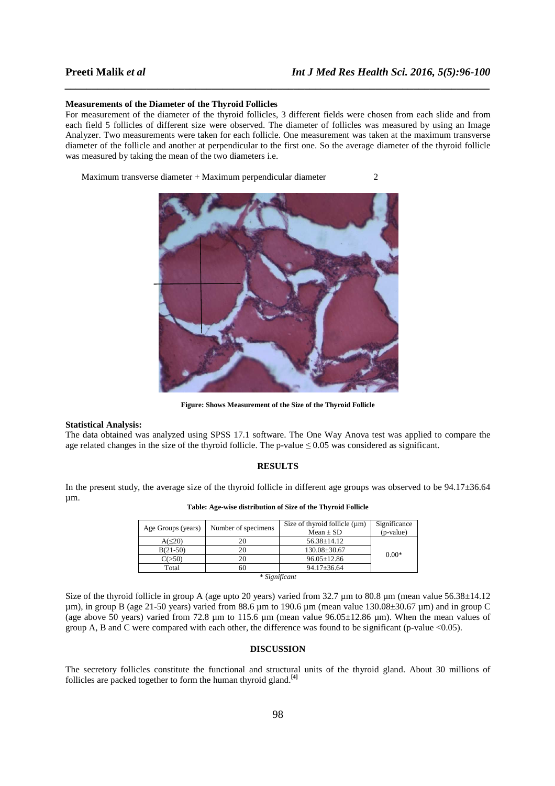#### **Measurements of the Diameter of the Thyroid Follicles**

For measurement of the diameter of the thyroid follicles, 3 different fields were chosen from each slide and from each field 5 follicles of different size were observed. The diameter of follicles was measured by using an Image Analyzer. Two measurements were taken for each follicle. One measurement was taken at the maximum transverse diameter of the follicle and another at perpendicular to the first one. So the average diameter of the thyroid follicle was measured by taking the mean of the two diameters i.e.

*\_\_\_\_\_\_\_\_\_\_\_\_\_\_\_\_\_\_\_\_\_\_\_\_\_\_\_\_\_\_\_\_\_\_\_\_\_\_\_\_\_\_\_\_\_\_\_\_\_\_\_\_\_\_\_\_\_\_\_\_\_\_\_\_\_\_\_\_\_\_\_\_\_\_\_\_\_\_*

Maximum transverse diameter + Maximum perpendicular diameter 2



**Figure: Shows Measurement of the Size of the Thyroid Follicle** 

#### **Statistical Analysis:**

The data obtained was analyzed using SPSS 17.1 software. The One Way Anova test was applied to compare the age related changes in the size of the thyroid follicle. The p-value  $\leq 0.05$  was considered as significant.

### **RESULTS**

In the present study, the average size of the thyroid follicle in different age groups was observed to be  $94.17\pm36.64$ µm.

| Age Groups (years) | Number of specimens | Size of thyroid follicle $(\mu m)$ | Significance |
|--------------------|---------------------|------------------------------------|--------------|
|                    |                     | $Mean \pm SD$                      | $(p-value)$  |
| $A(\leq 20)$       | 20                  | $56.38 \pm 14.12$                  |              |
| $B(21-50)$         | 20                  | $130.08 \pm 30.67$                 | $0.00*$      |
| C(>50)             | 20                  | $96.05 \pm 12.86$                  |              |
| Total              | 60                  | $94.17 \pm 36.64$                  |              |
| * Significant      |                     |                                    |              |

**Table: Age-wise distribution of Size of the Thyroid Follicle**

Size of the thyroid follicle in group A (age upto 20 years) varied from 32.7  $\mu$ m to 80.8  $\mu$ m (mean value 56.38±14.12 µm), in group B (age 21-50 years) varied from 88.6 µm to 190.6 µm (mean value 130.08±30.67 µm) and in group C (age above 50 years) varied from 72.8  $\mu$ m to 115.6  $\mu$ m (mean value 96.05 $\pm$ 12.86  $\mu$ m). When the mean values of group A, B and C were compared with each other, the difference was found to be significant (p-value  $<0.05$ ).

# **DISCUSSION**

The secretory follicles constitute the functional and structural units of the thyroid gland. About 30 millions of follicles are packed together to form the human thyroid gland.**[4]**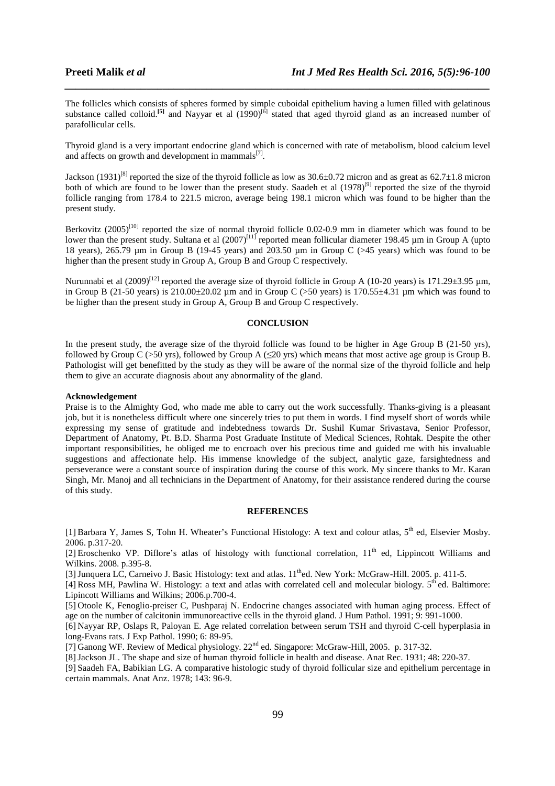The follicles which consists of spheres formed by simple cuboidal epithelium having a lumen filled with gelatinous substance called colloid.<sup>[5]</sup> and Nayyar et al (1990)<sup>[6]</sup> stated that aged thyroid gland as an increased number of parafollicular cells.

*\_\_\_\_\_\_\_\_\_\_\_\_\_\_\_\_\_\_\_\_\_\_\_\_\_\_\_\_\_\_\_\_\_\_\_\_\_\_\_\_\_\_\_\_\_\_\_\_\_\_\_\_\_\_\_\_\_\_\_\_\_\_\_\_\_\_\_\_\_\_\_\_\_\_\_\_\_\_*

Thyroid gland is a very important endocrine gland which is concerned with rate of metabolism, blood calcium level and affects on growth and development in mammals $^{[7]}$ .

Jackson (1931)<sup>[8]</sup> reported the size of the thyroid follicle as low as  $30.6\pm0.72$  micron and as great as  $62.7\pm1.8$  micron both of which are found to be lower than the present study. Saadeh et al  $(1978)^{9}$  reported the size of the thyroid follicle ranging from 178.4 to 221.5 micron, average being 198.1 micron which was found to be higher than the present study.

Berkovitz (2005)<sup>[10]</sup> reported the size of normal thyroid follicle 0.02-0.9 mm in diameter which was found to be lower than the present study. Sultana et al  $(2007)^{[11]}$  reported mean follicular diameter 198.45 µm in Group A (upto 18 years), 265.79 µm in Group B (19-45 years) and 203.50 µm in Group C (>45 years) which was found to be higher than the present study in Group A, Group B and Group C respectively.

Nurunnabi et al  $(2009)^{[12]}$  reported the average size of thyroid follicle in Group A (10-20 years) is 171.29 $\pm$ 3.95 µm, in Group B (21-50 years) is  $210.00\pm20.02$  µm and in Group C (>50 years) is 170.55 $\pm$ 4.31 µm which was found to be higher than the present study in Group A, Group B and Group C respectively.

# **CONCLUSION**

In the present study, the average size of the thyroid follicle was found to be higher in Age Group B (21-50 yrs), followed by Group C (>50 yrs), followed by Group A ( $\leq$ 20 yrs) which means that most active age group is Group B. Pathologist will get benefitted by the study as they will be aware of the normal size of the thyroid follicle and help them to give an accurate diagnosis about any abnormality of the gland.

#### **Acknowledgement**

Praise is to the Almighty God, who made me able to carry out the work successfully. Thanks-giving is a pleasant job, but it is nonetheless difficult where one sincerely tries to put them in words. I find myself short of words while expressing my sense of gratitude and indebtedness towards Dr. Sushil Kumar Srivastava, Senior Professor, Department of Anatomy, Pt. B.D. Sharma Post Graduate Institute of Medical Sciences, Rohtak. Despite the other important responsibilities, he obliged me to encroach over his precious time and guided me with his invaluable suggestions and affectionate help. His immense knowledge of the subject, analytic gaze, farsightedness and perseverance were a constant source of inspiration during the course of this work. My sincere thanks to Mr. Karan Singh, Mr. Manoj and all technicians in the Department of Anatomy, for their assistance rendered during the course of this study.

#### **REFERENCES**

[1] Barbara Y, James S, Tohn H. Wheater's Functional Histology: A text and colour atlas, 5<sup>th</sup> ed, Elsevier Mosby. 2006. p.317-20.

[2] Eroschenko VP. Diflore's atlas of histology with functional correlation,  $11<sup>th</sup>$  ed. Lippincott Williams and Wilkins. 2008. p.395-8.

[3] Junquera LC, Carneivo J. Basic Histology: text and atlas.  $11<sup>th</sup>$ ed. New York: McGraw-Hill. 2005. p. 411-5.

[4] Ross MH, Pawlina W. Histology: a text and atlas with correlated cell and molecular biology.  $5<sup>th</sup>$  ed. Baltimore: Lipincott Williams and Wilkins; 2006.p.700-4.

[5] Otoole K, Fenoglio-preiser C, Pushparaj N. Endocrine changes associated with human aging process. Effect of age on the number of calcitonin immunoreactive cells in the thyroid gland. J Hum Pathol. 1991; 9: 991-1000.

[6] Nayyar RP, Oslaps R, Paloyan E. Age related correlation between serum TSH and thyroid C-cell hyperplasia in long-Evans rats. J Exp Pathol. 1990; 6: 89-95.

[7] Ganong WF. Review of Medical physiology. 22nd ed. Singapore: McGraw-Hill, 2005. p. 317-32.

[8]Jackson JL. The shape and size of human thyroid follicle in health and disease. Anat Rec. 1931; 48: 220-37.

[9] Saadeh FA, Babikian LG. A comparative histologic study of thyroid follicular size and epithelium percentage in certain mammals. Anat Anz. 1978; 143: 96-9.